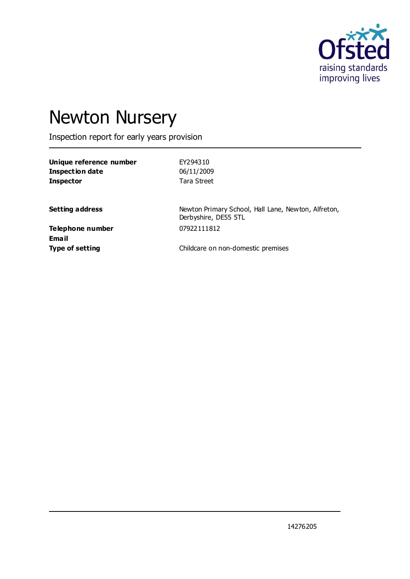

# Newton Nursery

Inspection report for early years provision

| EY294310    |
|-------------|
| 06/11/2009  |
| Tara Street |
|             |

**Setting address** Newton Primary School, Hall Lane, Newton, Alfreton, Derbyshire, DE55 5TL

**Telephone number** 07922111812 **Email**

**Type of setting** Childcare on non-domestic premises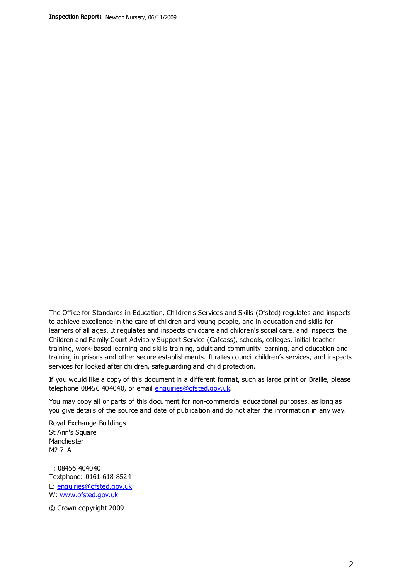The Office for Standards in Education, Children's Services and Skills (Ofsted) regulates and inspects to achieve excellence in the care of children and young people, and in education and skills for learners of all ages. It regulates and inspects childcare and children's social care, and inspects the Children and Family Court Advisory Support Service (Cafcass), schools, colleges, initial teacher training, work-based learning and skills training, adult and community learning, and education and training in prisons and other secure establishments. It rates council children's services, and inspects services for looked after children, safeguarding and child protection.

If you would like a copy of this document in a different format, such as large print or Braille, please telephone 08456 404040, or email enquiries@ofsted.gov.uk.

You may copy all or parts of this document for non-commercial educational purposes, as long as you give details of the source and date of publication and do not alter the information in any way.

Royal Exchange Buildings St Ann's Square Manchester M2 7LA

T: 08456 404040 Textphone: 0161 618 8524 E: enquiries@ofsted.gov.uk W: [www.ofsted.gov.uk](http://www.ofsted.gov.uk/)

© Crown copyright 2009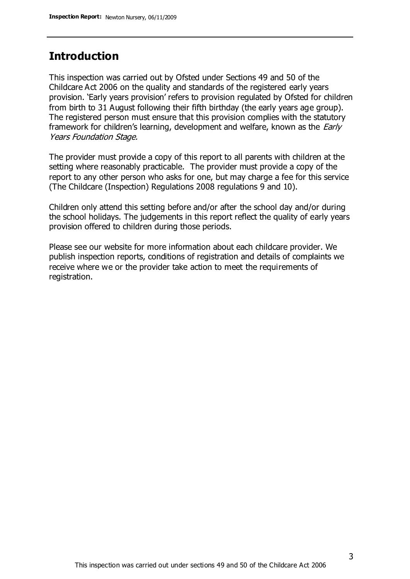# **Introduction**

This inspection was carried out by Ofsted under Sections 49 and 50 of the Childcare Act 2006 on the quality and standards of the registered early years provision. 'Early years provision' refers to provision regulated by Ofsted for children from birth to 31 August following their fifth birthday (the early years age group). The registered person must ensure that this provision complies with the statutory framework for children's learning, development and welfare, known as the *Early* Years Foundation Stage.

The provider must provide a copy of this report to all parents with children at the setting where reasonably practicable. The provider must provide a copy of the report to any other person who asks for one, but may charge a fee for this service (The Childcare (Inspection) Regulations 2008 regulations 9 and 10).

Children only attend this setting before and/or after the school day and/or during the school holidays. The judgements in this report reflect the quality of early years provision offered to children during those periods.

Please see our website for more information about each childcare provider. We publish inspection reports, conditions of registration and details of complaints we receive where we or the provider take action to meet the requirements of registration.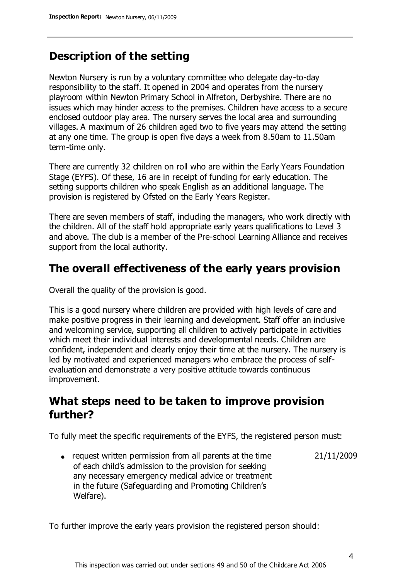# **Description of the setting**

Newton Nursery is run by a voluntary committee who delegate day-to-day responsibility to the staff. It opened in 2004 and operates from the nursery playroom within Newton Primary School in Alfreton, Derbyshire. There are no issues which may hinder access to the premises. Children have access to a secure enclosed outdoor play area. The nursery serves the local area and surrounding villages. A maximum of 26 children aged two to five years may attend the setting at any one time. The group is open five days a week from 8.50am to 11.50am term-time only.

There are currently 32 children on roll who are within the Early Years Foundation Stage (EYFS). Of these, 16 are in receipt of funding for early education. The setting supports children who speak English as an additional language. The provision is registered by Ofsted on the Early Years Register.

There are seven members of staff, including the managers, who work directly with the children. All of the staff hold appropriate early years qualifications to Level 3 and above. The club is a member of the Pre-school Learning Alliance and receives support from the local authority.

### **The overall effectiveness of the early years provision**

Overall the quality of the provision is good.

This is a good nursery where children are provided with high levels of care and make positive progress in their learning and development. Staff offer an inclusive and welcoming service, supporting all children to actively participate in activities which meet their individual interests and developmental needs. Children are confident, independent and clearly enjoy their time at the nursery. The nursery is led by motivated and experienced managers who embrace the process of selfevaluation and demonstrate a very positive attitude towards continuous improvement.

# **What steps need to be taken to improve provision further?**

To fully meet the specific requirements of the EYFS, the registered person must:

request written permission from all parents at the time of each child's admission to the provision for seeking any necessary emergency medical advice or treatment in the future (Safeguarding and Promoting Children's Welfare). 21/11/2009

To further improve the early years provision the registered person should: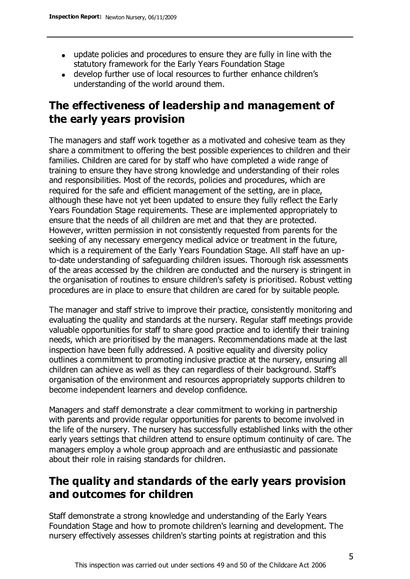- update policies and procedures to ensure they are fully in line with the statutory framework for the Early Years Foundation Stage
- develop further use of local resources to further enhance children's understanding of the world around them.

# **The effectiveness of leadership and management of the early years provision**

The managers and staff work together as a motivated and cohesive team as they share a commitment to offering the best possible experiences to children and their families. Children are cared for by staff who have completed a wide range of training to ensure they have strong knowledge and understanding of their roles and responsibilities. Most of the records, policies and procedures, which are required for the safe and efficient management of the setting, are in place, although these have not yet been updated to ensure they fully reflect the Early Years Foundation Stage requirements. These are implemented appropriately to ensure that the needs of all children are met and that they are protected. However, written permission in not consistently requested from parents for the seeking of any necessary emergency medical advice or treatment in the future, which is a requirement of the Early Years Foundation Stage. All staff have an upto-date understanding of safeguarding children issues. Thorough risk assessments of the areas accessed by the children are conducted and the nursery is stringent in the organisation of routines to ensure children's safety is prioritised. Robust vetting procedures are in place to ensure that children are cared for by suitable people.

The manager and staff strive to improve their practice, consistently monitoring and evaluating the quality and standards at the nursery. Regular staff meetings provide valuable opportunities for staff to share good practice and to identify their training needs, which are prioritised by the managers. Recommendations made at the last inspection have been fully addressed. A positive equality and diversity policy outlines a commitment to promoting inclusive practice at the nursery, ensuring all children can achieve as well as they can regardless of their background. Staff's organisation of the environment and resources appropriately supports children to become independent learners and develop confidence.

Managers and staff demonstrate a clear commitment to working in partnership with parents and provide regular opportunities for parents to become involved in the life of the nursery. The nursery has successfully established links with the other early years settings that children attend to ensure optimum continuity of care. The managers employ a whole group approach and are enthusiastic and passionate about their role in raising standards for children.

# **The quality and standards of the early years provision and outcomes for children**

Staff demonstrate a strong knowledge and understanding of the Early Years Foundation Stage and how to promote children's learning and development. The nursery effectively assesses children's starting points at registration and this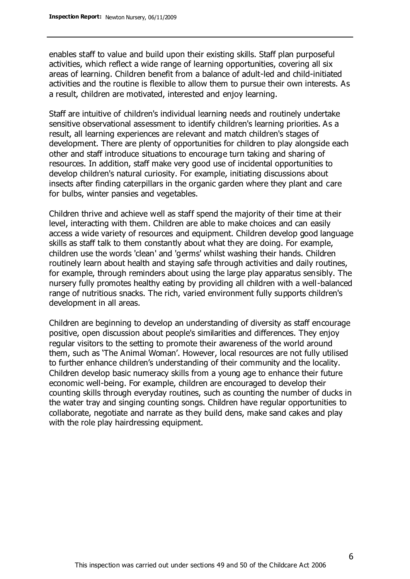enables staff to value and build upon their existing skills. Staff plan purposeful activities, which reflect a wide range of learning opportunities, covering all six areas of learning. Children benefit from a balance of adult-led and child-initiated activities and the routine is flexible to allow them to pursue their own interests. As a result, children are motivated, interested and enjoy learning.

Staff are intuitive of children's individual learning needs and routinely undertake sensitive observational assessment to identify children's learning priorities. As a result, all learning experiences are relevant and match children's stages of development. There are plenty of opportunities for children to play alongside each other and staff introduce situations to encourage turn taking and sharing of resources. In addition, staff make very good use of incidental opportunities to develop children's natural curiosity. For example, initiating discussions about insects after finding caterpillars in the organic garden where they plant and care for bulbs, winter pansies and vegetables.

Children thrive and achieve well as staff spend the majority of their time at their level, interacting with them. Children are able to make choices and can easily access a wide variety of resources and equipment. Children develop good language skills as staff talk to them constantly about what they are doing. For example, children use the words 'clean' and 'germs' whilst washing their hands. Children routinely learn about health and staying safe through activities and daily routines, for example, through reminders about using the large play apparatus sensibly. The nursery fully promotes healthy eating by providing all children with a well-balanced range of nutritious snacks. The rich, varied environment fully supports children's development in all areas.

Children are beginning to develop an understanding of diversity as staff encourage positive, open discussion about people's similarities and differences. They enjoy regular visitors to the setting to promote their awareness of the world around them, such as 'The Animal Woman'. However, local resources are not fully utilised to further enhance children's understanding of their community and the locality. Children develop basic numeracy skills from a young age to enhance their future economic well-being. For example, children are encouraged to develop their counting skills through everyday routines, such as counting the number of ducks in the water tray and singing counting songs. Children have regular opportunities to collaborate, negotiate and narrate as they build dens, make sand cakes and play with the role play hairdressing equipment.